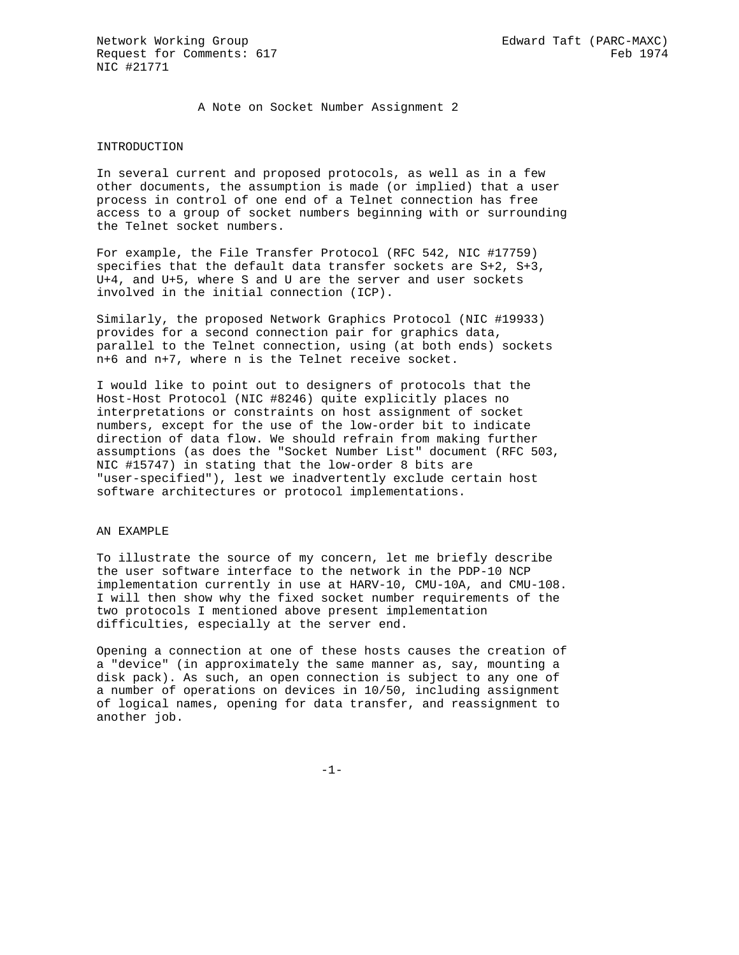A Note on Socket Number Assignment 2

## INTRODUCTION

In several current and proposed protocols, as well as in a few other documents, the assumption is made (or implied) that a user process in control of one end of a Telnet connection has free access to a group of socket numbers beginning with or surrounding the Telnet socket numbers.

For example, the File Transfer Protocol (RFC 542, NIC #17759) specifies that the default data transfer sockets are S+2, S+3, U+4, and U+5, where S and U are the server and user sockets involved in the initial connection (ICP).

Similarly, the proposed Network Graphics Protocol (NIC #19933) provides for a second connection pair for graphics data, parallel to the Telnet connection, using (at both ends) sockets n+6 and n+7, where n is the Telnet receive socket.

I would like to point out to designers of protocols that the Host-Host Protocol (NIC #8246) quite explicitly places no interpretations or constraints on host assignment of socket numbers, except for the use of the low-order bit to indicate direction of data flow. We should refrain from making further assumptions (as does the "Socket Number List" document (RFC 503, NIC #15747) in stating that the low-order 8 bits are "user-specified"), lest we inadvertently exclude certain host software architectures or protocol implementations.

### AN EXAMPLE

To illustrate the source of my concern, let me briefly describe the user software interface to the network in the PDP-10 NCP implementation currently in use at HARV-10, CMU-10A, and CMU-108. I will then show why the fixed socket number requirements of the two protocols I mentioned above present implementation difficulties, especially at the server end.

Opening a connection at one of these hosts causes the creation of a "device" (in approximately the same manner as, say, mounting a disk pack). As such, an open connection is subject to any one of a number of operations on devices in 10/50, including assignment of logical names, opening for data transfer, and reassignment to another job.

-1-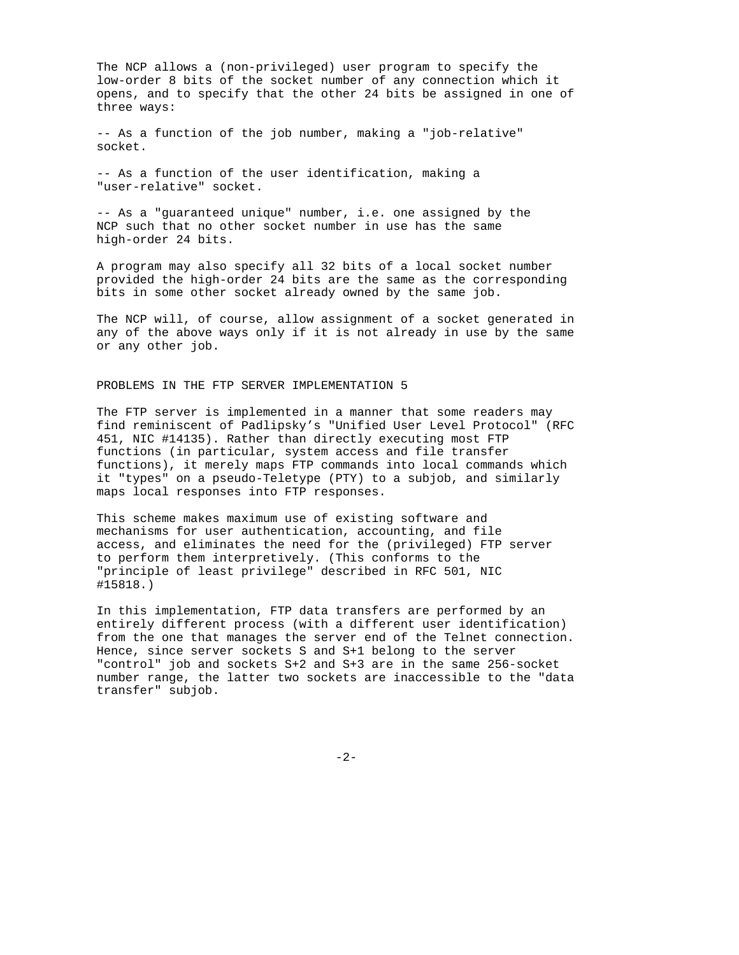The NCP allows a (non-privileged) user program to specify the low-order 8 bits of the socket number of any connection which it opens, and to specify that the other 24 bits be assigned in one of three ways:

-- As a function of the job number, making a "job-relative" socket.

-- As a function of the user identification, making a "user-relative" socket.

-- As a "guaranteed unique" number, i.e. one assigned by the NCP such that no other socket number in use has the same high-order 24 bits.

A program may also specify all 32 bits of a local socket number provided the high-order 24 bits are the same as the corresponding bits in some other socket already owned by the same job.

The NCP will, of course, allow assignment of a socket generated in any of the above ways only if it is not already in use by the same or any other job.

## PROBLEMS IN THE FTP SERVER IMPLEMENTATION 5

The FTP server is implemented in a manner that some readers may find reminiscent of Padlipsky's "Unified User Level Protocol" (RFC 451, NIC #14135). Rather than directly executing most FTP functions (in particular, system access and file transfer functions), it merely maps FTP commands into local commands which it "types" on a pseudo-Teletype (PTY) to a subjob, and similarly maps local responses into FTP responses.

This scheme makes maximum use of existing software and mechanisms for user authentication, accounting, and file access, and eliminates the need for the (privileged) FTP server to perform them interpretively. (This conforms to the "principle of least privilege" described in RFC 501, NIC #15818.)

In this implementation, FTP data transfers are performed by an entirely different process (with a different user identification) from the one that manages the server end of the Telnet connection. Hence, since server sockets S and S+1 belong to the server "control" job and sockets S+2 and S+3 are in the same 256-socket number range, the latter two sockets are inaccessible to the "data transfer" subjob.

-2-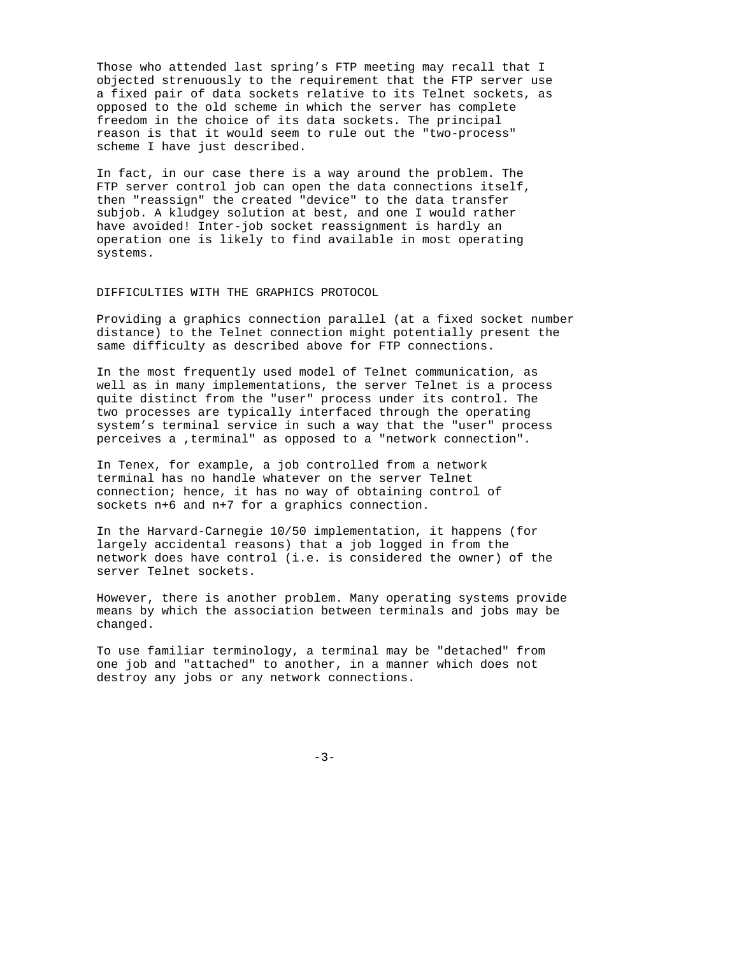Those who attended last spring's FTP meeting may recall that I objected strenuously to the requirement that the FTP server use a fixed pair of data sockets relative to its Telnet sockets, as opposed to the old scheme in which the server has complete freedom in the choice of its data sockets. The principal reason is that it would seem to rule out the "two-process" scheme I have just described.

In fact, in our case there is a way around the problem. The FTP server control job can open the data connections itself, then "reassign" the created "device" to the data transfer subjob. A kludgey solution at best, and one I would rather have avoided! Inter-job socket reassignment is hardly an operation one is likely to find available in most operating systems.

# DIFFICULTIES WITH THE GRAPHICS PROTOCOL

Providing a graphics connection parallel (at a fixed socket number distance) to the Telnet connection might potentially present the same difficulty as described above for FTP connections.

In the most frequently used model of Telnet communication, as well as in many implementations, the server Telnet is a process quite distinct from the "user" process under its control. The two processes are typically interfaced through the operating system's terminal service in such a way that the "user" process perceives a ,terminal" as opposed to a "network connection".

In Tenex, for example, a job controlled from a network terminal has no handle whatever on the server Telnet connection; hence, it has no way of obtaining control of sockets n+6 and n+7 for a graphics connection.

In the Harvard-Carnegie 10/50 implementation, it happens (for largely accidental reasons) that a job logged in from the network does have control (i.e. is considered the owner) of the server Telnet sockets.

However, there is another problem. Many operating systems provide means by which the association between terminals and jobs may be changed.

To use familiar terminology, a terminal may be "detached" from one job and "attached" to another, in a manner which does not destroy any jobs or any network connections.

-3-